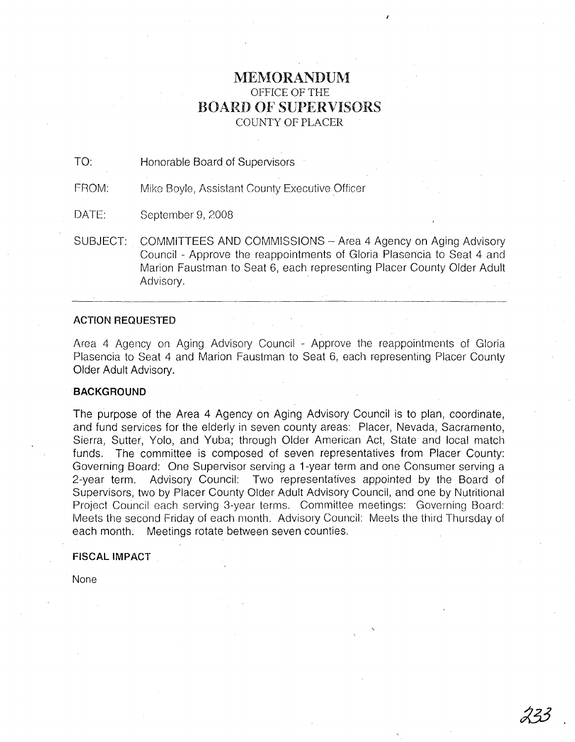# MEMORANDUM OFFICE OF THE BOARD OF SUPERVISORS COUNTY OF PLACER

TO: Honorable Board of Supervisors

FROM: Mike Boyle, Assistant County Executive Officer

DATE: September 9, 2008

SUBJECT: COMMITTEES AND COMMISSIONS - Area 4 Agency on Aging Advisory Council - Approve the reappointments of Gloria Plasencia to Seat 4 and Marion Faustman to Seat 6, each representing Placer County Older Adult Advisory.

## **ACTION REQUESTED**

Area 4 Agency on Aging Advisory Council - Approve the reappointments of Gloria Plasencia to Seat 4 and Marion Faustman to Seat 6, each representing Placer County Older Adult Advisory.

## **BACKGROUND**

The purpose of the Area 4 Agency on Aging Advisory Council is to plan, coordinate, and fund services for the elderly in seven county areas: Placer, Nevada, Sacramento, Sierra, Sutter, Yolo, and Yuba; through Older American Act, State and local match funds. The committee is composed of seven representatives from Placer County: Governing Board: One Supervisor serving a 1-year term and one Consumer serving a 2-year term. Advisory Council: Two representatives appointed by the Board of Supervisors, two by Placer County Older Adult Advisory Council, and one by Nutritional Project Council each serving 3-year terms. Committee meetings: Governing Board: Meets the second Friday of each month. Advisory Council: Meets the third Thursday of each month. Meetings rotate between seven counties.

## **FISCAL IMPACT**

None